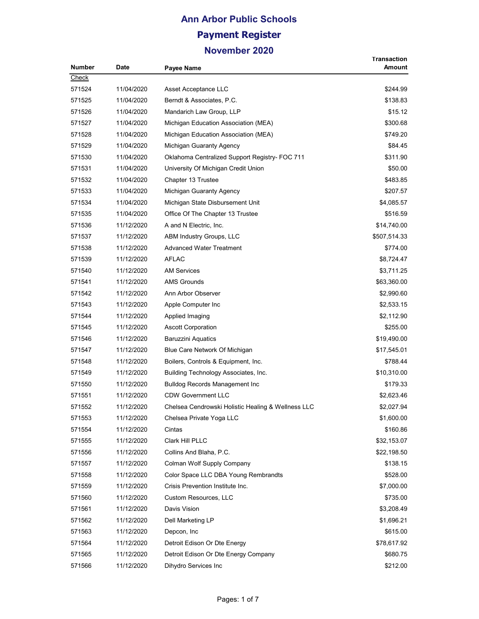|               |            |                                                    | <b>Transaction</b> |
|---------------|------------|----------------------------------------------------|--------------------|
| <b>Number</b> | Date       | Payee Name                                         | Amount             |
| Check         |            |                                                    |                    |
| 571524        | 11/04/2020 | Asset Acceptance LLC                               | \$244.99           |
| 571525        | 11/04/2020 | Berndt & Associates, P.C.                          | \$138.83           |
| 571526        | 11/04/2020 | Mandarich Law Group, LLP                           | \$15.12            |
| 571527        | 11/04/2020 | Michigan Education Association (MEA)               | \$300.68           |
| 571528        | 11/04/2020 | Michigan Education Association (MEA)               | \$749.20           |
| 571529        | 11/04/2020 | Michigan Guaranty Agency                           | \$84.45            |
| 571530        | 11/04/2020 | Oklahoma Centralized Support Registry- FOC 711     | \$311.90           |
| 571531        | 11/04/2020 | University Of Michigan Credit Union                | \$50.00            |
| 571532        | 11/04/2020 | Chapter 13 Trustee                                 | \$483.85           |
| 571533        | 11/04/2020 | Michigan Guaranty Agency                           | \$207.57           |
| 571534        | 11/04/2020 | Michigan State Disbursement Unit                   | \$4,085.57         |
| 571535        | 11/04/2020 | Office Of The Chapter 13 Trustee                   | \$516.59           |
| 571536        | 11/12/2020 | A and N Electric, Inc.                             | \$14,740.00        |
| 571537        | 11/12/2020 | ABM Industry Groups, LLC                           | \$507,514.33       |
| 571538        | 11/12/2020 | <b>Advanced Water Treatment</b>                    | \$774.00           |
| 571539        | 11/12/2020 | <b>AFLAC</b>                                       | \$8,724.47         |
| 571540        | 11/12/2020 | <b>AM Services</b>                                 | \$3,711.25         |
| 571541        | 11/12/2020 | <b>AMS Grounds</b>                                 | \$63,360.00        |
| 571542        | 11/12/2020 | Ann Arbor Observer                                 | \$2,990.60         |
| 571543        | 11/12/2020 | Apple Computer Inc                                 | \$2,533.15         |
| 571544        | 11/12/2020 | Applied Imaging                                    | \$2,112.90         |
| 571545        | 11/12/2020 | <b>Ascott Corporation</b>                          | \$255.00           |
| 571546        | 11/12/2020 | Baruzzini Aquatics                                 | \$19,490.00        |
| 571547        | 11/12/2020 | Blue Care Network Of Michigan                      | \$17,545.01        |
| 571548        | 11/12/2020 | Boilers, Controls & Equipment, Inc.                | \$788.44           |
| 571549        | 11/12/2020 | Building Technology Associates, Inc.               | \$10,310.00        |
| 571550        | 11/12/2020 | <b>Bulldog Records Management Inc</b>              | \$179.33           |
| 571551        | 11/12/2020 | <b>CDW Government LLC</b>                          | \$2,623.46         |
| 571552        | 11/12/2020 | Chelsea Cendrowski Holistic Healing & Wellness LLC | \$2,027.94         |
| 571553        | 11/12/2020 | Chelsea Private Yoga LLC                           | \$1,600.00         |
| 571554        | 11/12/2020 | Cintas                                             | \$160.86           |
| 571555        | 11/12/2020 | Clark Hill PLLC                                    | \$32,153.07        |
| 571556        | 11/12/2020 | Collins And Blaha, P.C.                            | \$22,198.50        |
| 571557        | 11/12/2020 | Colman Wolf Supply Company                         | \$138.15           |
| 571558        | 11/12/2020 | Color Space LLC DBA Young Rembrandts               | \$528.00           |
| 571559        | 11/12/2020 | Crisis Prevention Institute Inc.                   | \$7,000.00         |
| 571560        | 11/12/2020 | Custom Resources, LLC                              | \$735.00           |
| 571561        | 11/12/2020 | Davis Vision                                       | \$3,208.49         |
| 571562        | 11/12/2020 | Dell Marketing LP                                  | \$1,696.21         |
| 571563        | 11/12/2020 |                                                    |                    |
|               |            | Depcon, Inc.                                       | \$615.00           |
| 571564        | 11/12/2020 | Detroit Edison Or Dte Energy                       | \$78,617.92        |
| 571565        | 11/12/2020 | Detroit Edison Or Dte Energy Company               | \$680.75           |
| 571566        | 11/12/2020 | Dihydro Services Inc                               | \$212.00           |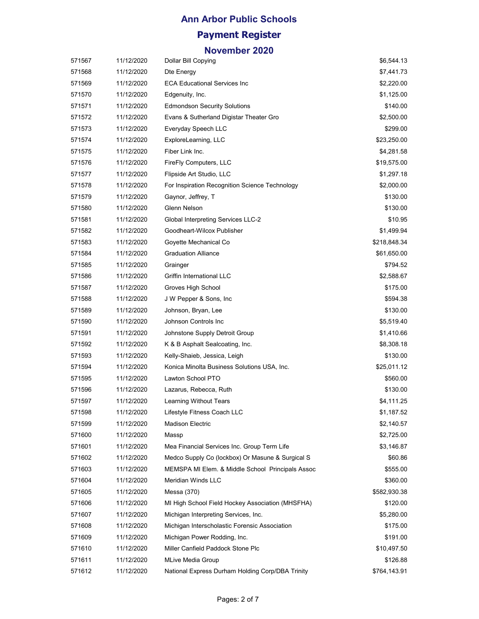| 571567 | 11/12/2020 | Dollar Bill Copying                              | \$6,544.13   |
|--------|------------|--------------------------------------------------|--------------|
| 571568 | 11/12/2020 | Dte Energy                                       | \$7,441.73   |
| 571569 | 11/12/2020 | <b>ECA Educational Services Inc.</b>             | \$2,220.00   |
| 571570 | 11/12/2020 | Edgenuity, Inc.                                  | \$1,125.00   |
| 571571 | 11/12/2020 | <b>Edmondson Security Solutions</b>              | \$140.00     |
| 571572 | 11/12/2020 | Evans & Sutherland Digistar Theater Gro          | \$2,500.00   |
| 571573 | 11/12/2020 | Everyday Speech LLC                              | \$299.00     |
| 571574 | 11/12/2020 | ExploreLearning, LLC                             | \$23,250.00  |
| 571575 | 11/12/2020 | Fiber Link Inc.                                  | \$4,281.58   |
| 571576 | 11/12/2020 | FireFly Computers, LLC                           | \$19,575.00  |
| 571577 | 11/12/2020 | Flipside Art Studio, LLC                         | \$1,297.18   |
| 571578 | 11/12/2020 | For Inspiration Recognition Science Technology   | \$2,000.00   |
| 571579 | 11/12/2020 | Gaynor, Jeffrey, T                               | \$130.00     |
| 571580 | 11/12/2020 | Glenn Nelson                                     | \$130.00     |
| 571581 | 11/12/2020 | Global Interpreting Services LLC-2               | \$10.95      |
| 571582 | 11/12/2020 | Goodheart-Wilcox Publisher                       | \$1,499.94   |
| 571583 | 11/12/2020 | Goyette Mechanical Co                            | \$218,848.34 |
| 571584 | 11/12/2020 | <b>Graduation Alliance</b>                       | \$61,650.00  |
| 571585 | 11/12/2020 | Grainger                                         | \$794.52     |
| 571586 | 11/12/2020 | Griffin International LLC                        | \$2,588.67   |
| 571587 | 11/12/2020 | Groves High School                               | \$175.00     |
| 571588 | 11/12/2020 | J W Pepper & Sons, Inc.                          | \$594.38     |
| 571589 | 11/12/2020 | Johnson, Bryan, Lee                              | \$130.00     |
| 571590 | 11/12/2020 | Johnson Controls Inc                             | \$5,519.40   |
| 571591 | 11/12/2020 | Johnstone Supply Detroit Group                   | \$1,410.66   |
| 571592 | 11/12/2020 | K & B Asphalt Sealcoating, Inc.                  | \$8,308.18   |
| 571593 | 11/12/2020 | Kelly-Shaieb, Jessica, Leigh                     | \$130.00     |
| 571594 | 11/12/2020 | Konica Minolta Business Solutions USA, Inc.      | \$25,011.12  |
| 571595 | 11/12/2020 | Lawton School PTO                                | \$560.00     |
| 571596 | 11/12/2020 | Lazarus, Rebecca, Ruth                           | \$130.00     |
| 571597 | 11/12/2020 | Learning Without Tears                           | \$4,111.25   |
| 571598 | 11/12/2020 | Lifestyle Fitness Coach LLC                      | \$1,187.52   |
| 571599 | 11/12/2020 | <b>Madison Electric</b>                          | \$2,140.57   |
| 571600 | 11/12/2020 | Massp                                            | \$2,725.00   |
| 571601 | 11/12/2020 | Mea Financial Services Inc. Group Term Life      | \$3,146.87   |
| 571602 | 11/12/2020 | Medco Supply Co (lockbox) Or Masune & Surgical S | \$60.86      |
| 571603 | 11/12/2020 | MEMSPA MI Elem. & Middle School Principals Assoc | \$555.00     |
| 571604 | 11/12/2020 | Meridian Winds LLC                               | \$360.00     |
| 571605 | 11/12/2020 | Messa (370)                                      | \$582,930.38 |
| 571606 | 11/12/2020 | MI High School Field Hockey Association (MHSFHA) | \$120.00     |
| 571607 | 11/12/2020 | Michigan Interpreting Services, Inc.             | \$5,280.00   |
| 571608 | 11/12/2020 | Michigan Interscholastic Forensic Association    | \$175.00     |
| 571609 | 11/12/2020 | Michigan Power Rodding, Inc.                     | \$191.00     |
| 571610 | 11/12/2020 | Miller Canfield Paddock Stone Plc                | \$10,497.50  |
| 571611 | 11/12/2020 | MLive Media Group                                | \$126.88     |
| 571612 | 11/12/2020 | National Express Durham Holding Corp/DBA Trinity | \$764,143.91 |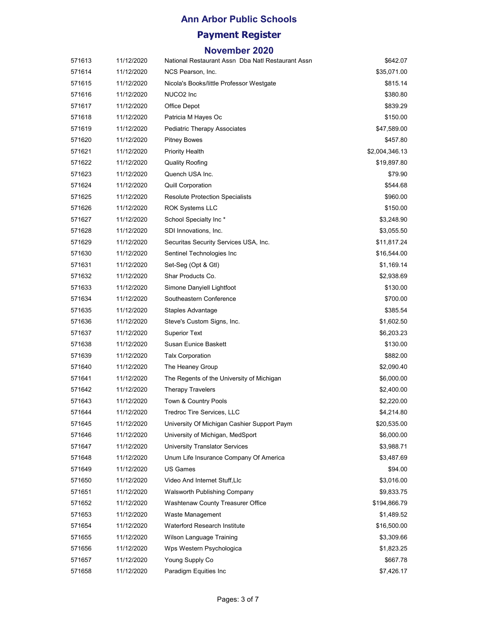#### **Ann Arbor Public Schools**

#### **Payment Register**

| 571613 | 11/12/2020 | National Restaurant Assn Dba Natl Restaurant Assn | \$642.07       |
|--------|------------|---------------------------------------------------|----------------|
| 571614 | 11/12/2020 | NCS Pearson, Inc.                                 | \$35,071.00    |
| 571615 | 11/12/2020 | Nicola's Books/little Professor Westgate          | \$815.14       |
| 571616 | 11/12/2020 | NUCO2 Inc                                         | \$380.80       |
| 571617 | 11/12/2020 | Office Depot                                      | \$839.29       |
| 571618 | 11/12/2020 | Patricia M Hayes Oc                               | \$150.00       |
| 571619 | 11/12/2020 | Pediatric Therapy Associates                      | \$47,589.00    |
| 571620 | 11/12/2020 | <b>Pitney Bowes</b>                               | \$457.80       |
| 571621 | 11/12/2020 | <b>Priority Health</b>                            | \$2,004,346.13 |
| 571622 | 11/12/2020 | Quality Roofing                                   | \$19,897.80    |
| 571623 | 11/12/2020 | Quench USA Inc.                                   | \$79.90        |
| 571624 | 11/12/2020 | <b>Quill Corporation</b>                          | \$544.68       |
| 571625 | 11/12/2020 | <b>Resolute Protection Specialists</b>            | \$960.00       |
| 571626 | 11/12/2020 | <b>ROK Systems LLC</b>                            | \$150.00       |
| 571627 | 11/12/2020 | School Specialty Inc*                             | \$3,248.90     |
| 571628 | 11/12/2020 | SDI Innovations, Inc.                             | \$3,055.50     |
| 571629 | 11/12/2020 | Securitas Security Services USA, Inc.             | \$11,817.24    |
| 571630 | 11/12/2020 | Sentinel Technologies Inc                         | \$16,544.00    |
| 571631 | 11/12/2020 | Set-Seg (Opt & Gtl)                               | \$1,169.14     |
| 571632 | 11/12/2020 | Shar Products Co.                                 | \$2,938.69     |
| 571633 | 11/12/2020 | Simone Danyiell Lightfoot                         | \$130.00       |
| 571634 | 11/12/2020 | Southeastern Conference                           | \$700.00       |
| 571635 | 11/12/2020 | Staples Advantage                                 | \$385.54       |
| 571636 | 11/12/2020 | Steve's Custom Signs, Inc.                        | \$1,602.50     |
| 571637 | 11/12/2020 | Superior Text                                     | \$6,203.23     |
| 571638 | 11/12/2020 | Susan Eunice Baskett                              | \$130.00       |
| 571639 | 11/12/2020 | <b>Talx Corporation</b>                           | \$882.00       |
| 571640 | 11/12/2020 | The Heaney Group                                  | \$2,090.40     |
| 571641 | 11/12/2020 | The Regents of the University of Michigan         | \$6,000.00     |
| 571642 | 11/12/2020 | <b>Therapy Travelers</b>                          | \$2,400.00     |
| 571643 | 11/12/2020 | Town & Country Pools                              | \$2,220.00     |
| 571644 | 11/12/2020 | Tredroc Tire Services, LLC                        | \$4,214.80     |
| 571645 | 11/12/2020 | University Of Michigan Cashier Support Paym       | \$20,535.00    |
| 571646 | 11/12/2020 | University of Michigan, MedSport                  | \$6,000.00     |
| 571647 | 11/12/2020 | <b>University Translator Services</b>             | \$3,988.71     |
| 571648 | 11/12/2020 | Unum Life Insurance Company Of America            | \$3,487.69     |
| 571649 | 11/12/2020 | US Games                                          | \$94.00        |
| 571650 | 11/12/2020 | Video And Internet Stuff, Llc                     | \$3,016.00     |
| 571651 | 11/12/2020 | Walsworth Publishing Company                      | \$9,833.75     |
| 571652 | 11/12/2020 | Washtenaw County Treasurer Office                 | \$194,866.79   |
| 571653 | 11/12/2020 | Waste Management                                  | \$1,489.52     |
| 571654 | 11/12/2020 | Waterford Research Institute                      | \$16,500.00    |
| 571655 | 11/12/2020 | Wilson Language Training                          | \$3,309.66     |
| 571656 | 11/12/2020 | Wps Western Psychologica                          | \$1,823.25     |
| 571657 | 11/12/2020 | Young Supply Co                                   | \$667.78       |
| 571658 | 11/12/2020 | Paradigm Equities Inc                             | \$7,426.17     |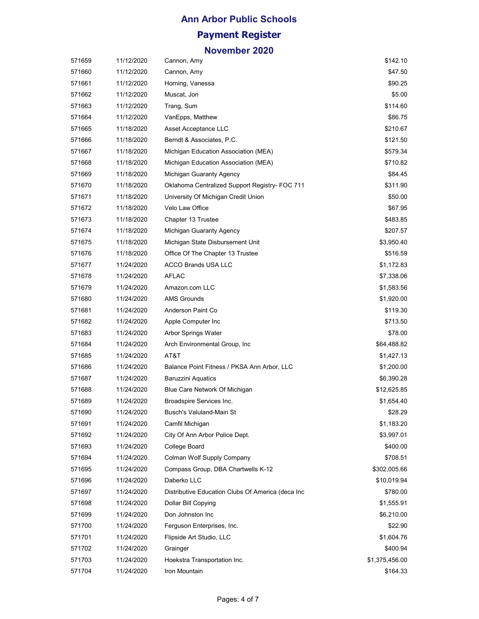| 571659 | 11/12/2020 | Cannon, Amy                                       | \$142.10       |
|--------|------------|---------------------------------------------------|----------------|
| 571660 | 11/12/2020 | Cannon, Amy                                       | \$47.50        |
| 571661 | 11/12/2020 | Horning, Vanessa                                  | \$90.25        |
| 571662 | 11/12/2020 | Muscat, Jon                                       | \$5.00         |
| 571663 | 11/12/2020 | Trang, Sum                                        | \$114.60       |
| 571664 | 11/12/2020 | VanEpps, Matthew                                  | \$86.75        |
| 571665 | 11/18/2020 | Asset Acceptance LLC                              | \$210.67       |
| 571666 | 11/18/2020 | Berndt & Associates, P.C.                         | \$121.50       |
| 571667 | 11/18/2020 | Michigan Education Association (MEA)              | \$579.34       |
| 571668 | 11/18/2020 | Michigan Education Association (MEA)              | \$710.82       |
| 571669 | 11/18/2020 | Michigan Guaranty Agency                          | \$84.45        |
| 571670 | 11/18/2020 | Oklahoma Centralized Support Registry- FOC 711    | \$311.90       |
| 571671 | 11/18/2020 | University Of Michigan Credit Union               | \$50.00        |
| 571672 | 11/18/2020 | Velo Law Office                                   | \$67.95        |
| 571673 | 11/18/2020 | Chapter 13 Trustee                                | \$483.85       |
| 571674 | 11/18/2020 | Michigan Guaranty Agency                          | \$207.57       |
| 571675 | 11/18/2020 | Michigan State Disbursement Unit                  | \$3,950.40     |
| 571676 | 11/18/2020 | Office Of The Chapter 13 Trustee                  | \$516.59       |
| 571677 | 11/24/2020 | <b>ACCO Brands USA LLC</b>                        | \$1,172.83     |
| 571678 | 11/24/2020 | <b>AFLAC</b>                                      | \$7,338.06     |
| 571679 | 11/24/2020 | Amazon.com LLC                                    | \$1,583.56     |
| 571680 | 11/24/2020 | <b>AMS Grounds</b>                                | \$1,920.00     |
| 571681 | 11/24/2020 | Anderson Paint Co                                 | \$119.30       |
| 571682 | 11/24/2020 | Apple Computer Inc                                | \$713.50       |
| 571683 | 11/24/2020 | Arbor Springs Water                               | \$78.00        |
| 571684 | 11/24/2020 | Arch Environmental Group, Inc.                    | \$64,488.82    |
| 571685 | 11/24/2020 | AT&T                                              | \$1,427.13     |
| 571686 | 11/24/2020 | Balance Point Fitness / PKSA Ann Arbor, LLC       | \$1,200.00     |
| 571687 | 11/24/2020 | <b>Baruzzini Aquatics</b>                         | \$6,390.28     |
| 571688 | 11/24/2020 | Blue Care Network Of Michigan                     | \$12,625.85    |
| 571689 | 11/24/2020 | Broadspire Services Inc.                          | \$1,654.40     |
| 571690 | 11/24/2020 | Busch's Valuland-Main St                          | \$28.29        |
| 571691 | 11/24/2020 | Camfil Michigan                                   | \$1,183.20     |
| 571692 | 11/24/2020 | City Of Ann Arbor Police Dept.                    | \$3,997.01     |
| 571693 | 11/24/2020 | College Board                                     | \$400.00       |
| 571694 | 11/24/2020 | Colman Wolf Supply Company                        | \$708.51       |
| 571695 | 11/24/2020 | Compass Group, DBA Chartwells K-12                | \$302,005.66   |
| 571696 | 11/24/2020 | Daberko LLC                                       | \$10,019.94    |
| 571697 | 11/24/2020 | Distributive Education Clubs Of America (deca Inc | \$780.00       |
| 571698 | 11/24/2020 | Dollar Bill Copying                               | \$1,555.91     |
| 571699 | 11/24/2020 | Don Johnston Inc                                  | \$6,210.00     |
| 571700 | 11/24/2020 | Ferguson Enterprises, Inc.                        | \$22.90        |
| 571701 | 11/24/2020 | Flipside Art Studio, LLC                          | \$1,604.76     |
| 571702 | 11/24/2020 | Grainger                                          | \$400.94       |
| 571703 | 11/24/2020 | Hoekstra Transportation Inc.                      | \$1,375,456.00 |
| 571704 | 11/24/2020 | Iron Mountain                                     | \$164.33       |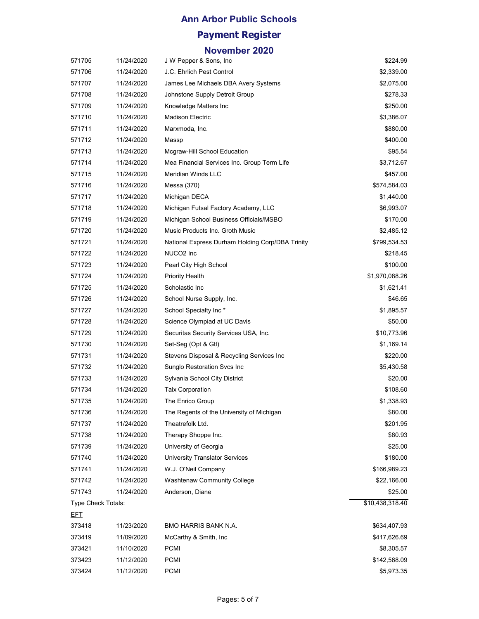#### **Ann Arbor Public Schools**

#### **Payment Register**

| 571705             | 11/24/2020 | J W Pepper & Sons, Inc.                          | \$224.99        |
|--------------------|------------|--------------------------------------------------|-----------------|
| 571706             | 11/24/2020 | J.C. Ehrlich Pest Control                        | \$2,339.00      |
| 571707             | 11/24/2020 | James Lee Michaels DBA Avery Systems             | \$2,075.00      |
| 571708             | 11/24/2020 | Johnstone Supply Detroit Group                   | \$278.33        |
| 571709             | 11/24/2020 | Knowledge Matters Inc                            | \$250.00        |
| 571710             | 11/24/2020 | <b>Madison Electric</b>                          | \$3,386.07      |
| 571711             | 11/24/2020 | Marxmoda, Inc.                                   | \$880.00        |
| 571712             | 11/24/2020 | Massp                                            | \$400.00        |
| 571713             | 11/24/2020 | Mcgraw-Hill School Education                     | \$95.54         |
| 571714             | 11/24/2020 | Mea Financial Services Inc. Group Term Life      | \$3,712.67      |
| 571715             | 11/24/2020 | Meridian Winds LLC                               | \$457.00        |
| 571716             | 11/24/2020 | Messa (370)                                      | \$574,584.03    |
| 571717             | 11/24/2020 | Michigan DECA                                    | \$1,440.00      |
| 571718             | 11/24/2020 | Michigan Futsal Factory Academy, LLC             | \$6,993.07      |
| 571719             | 11/24/2020 | Michigan School Business Officials/MSBO          | \$170.00        |
| 571720             | 11/24/2020 | Music Products Inc. Groth Music                  | \$2,485.12      |
| 571721             | 11/24/2020 | National Express Durham Holding Corp/DBA Trinity | \$799,534.53    |
| 571722             | 11/24/2020 | NUCO <sub>2</sub> Inc                            | \$218.45        |
| 571723             | 11/24/2020 | Pearl City High School                           | \$100.00        |
| 571724             | 11/24/2020 | Priority Health                                  | \$1,970,088.26  |
| 571725             | 11/24/2020 | Scholastic Inc                                   | \$1,621.41      |
| 571726             | 11/24/2020 | School Nurse Supply, Inc.                        | \$46.65         |
| 571727             | 11/24/2020 | School Specialty Inc*                            | \$1,895.57      |
| 571728             | 11/24/2020 | Science Olympiad at UC Davis                     | \$50.00         |
| 571729             | 11/24/2020 | Securitas Security Services USA, Inc.            | \$10,773.96     |
| 571730             | 11/24/2020 | Set-Seg (Opt & Gtl)                              | \$1,169.14      |
| 571731             | 11/24/2020 | Stevens Disposal & Recycling Services Inc        | \$220.00        |
| 571732             | 11/24/2020 | Sunglo Restoration Svcs Inc                      | \$5,430.58      |
| 571733             | 11/24/2020 | Sylvania School City District                    | \$20.00         |
| 571734             | 11/24/2020 | <b>Talx Corporation</b>                          | \$108.60        |
| 571735             | 11/24/2020 | The Enrico Group                                 | \$1,338.93      |
| 571736             | 11/24/2020 | The Regents of the University of Michigan        | \$80.00         |
| 571737             | 11/24/2020 | Theatrefolk Ltd.                                 | \$201.95        |
| 571738             | 11/24/2020 | Therapy Shoppe Inc.                              | \$80.93         |
| 571739             | 11/24/2020 | University of Georgia                            | \$25.00         |
| 571740             | 11/24/2020 | <b>University Translator Services</b>            | \$180.00        |
| 571741             | 11/24/2020 | W.J. O'Neil Company                              | \$166,989.23    |
| 571742             | 11/24/2020 | Washtenaw Community College                      | \$22,166.00     |
| 571743             | 11/24/2020 | Anderson, Diane                                  | \$25.00         |
| Type Check Totals: |            |                                                  | \$10,438,318.40 |
| <u>EFT</u>         |            |                                                  |                 |
| 373418             | 11/23/2020 | BMO HARRIS BANK N.A.                             | \$634,407.93    |
| 373419             | 11/09/2020 | McCarthy & Smith, Inc                            | \$417,626.69    |
| 373421             | 11/10/2020 | <b>PCMI</b>                                      | \$8,305.57      |
| 373423             | 11/12/2020 | <b>PCMI</b>                                      | \$142,568.09    |
| 373424             | 11/12/2020 | <b>PCMI</b>                                      | \$5,973.35      |
|                    |            |                                                  |                 |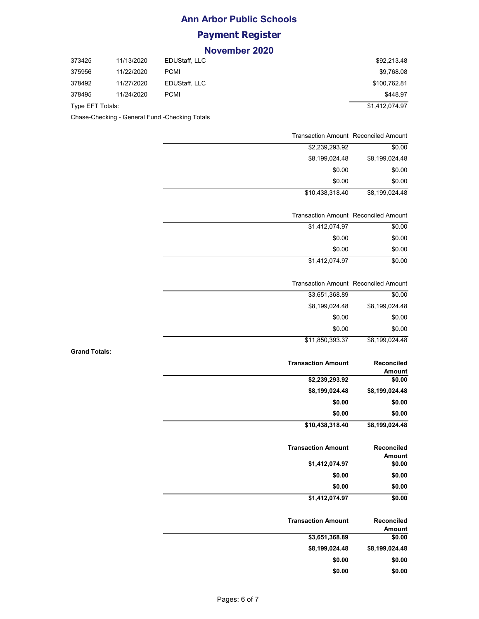#### **November 2020**

| 373425           | 11/13/2020 | EDUStaff, LLC | \$92,213.48    |
|------------------|------------|---------------|----------------|
| 375956           | 11/22/2020 | <b>PCMI</b>   | \$9,768.08     |
| 378492           | 11/27/2020 | EDUStaff, LLC | \$100.762.81   |
| 378495           | 11/24/2020 | <b>PCMI</b>   | \$448.97       |
| Type EFT Totals: |            |               | \$1.412.074.97 |

Chase-Checking - General Fund -Checking Totals

**Grand Totals:**

|                             | <b>Transaction Amount Reconciled Amount</b> |
|-----------------------------|---------------------------------------------|
| \$0.00                      | \$2,239,293.92                              |
| \$8,199,024.48              | \$8,199,024.48                              |
| \$0.00                      | \$0.00                                      |
| \$0.00                      | \$0.00                                      |
| \$8,199,024.48              | \$10,438,318.40                             |
|                             | <b>Transaction Amount Reconciled Amount</b> |
| \$0.00                      | \$1,412,074.97                              |
| \$0.00                      | \$0.00                                      |
| \$0.00                      | \$0.00                                      |
| \$0.00                      | \$1,412,074.97                              |
|                             | <b>Transaction Amount Reconciled Amount</b> |
| \$0.00                      | \$3,651,368.89                              |
| \$8,199,024.48              | \$8,199,024.48                              |
| \$0.00                      | \$0.00                                      |
| \$0.00                      | \$0.00                                      |
| \$8,199,024.48              | \$11,850,393.37                             |
| Reconciled<br><b>Amount</b> | <b>Transaction Amount</b>                   |
| \$0.00                      | \$2,239,293.92                              |
| \$8,199,024.48              | \$8,199,024.48                              |
| \$0.00                      | \$0.00                                      |
| \$0.00                      | \$0.00                                      |
| \$8,199,024.48              | \$10,438,318.40                             |
| Reconciled<br><b>Amount</b> | <b>Transaction Amount</b>                   |
| \$0.00                      | \$1,412,074.97                              |
| \$0.00                      | \$0.00                                      |
| \$0.00                      | \$0.00                                      |
| \$0.00                      | \$1,412,074.97                              |
| Reconciled<br><b>Amount</b> | <b>Transaction Amount</b>                   |
| \$0.00                      | \$3,651,368.89                              |
| \$8,199,024.48              | \$8,199,024.48                              |
| \$0.00                      | \$0.00                                      |
| \$0.00                      | \$0.00                                      |